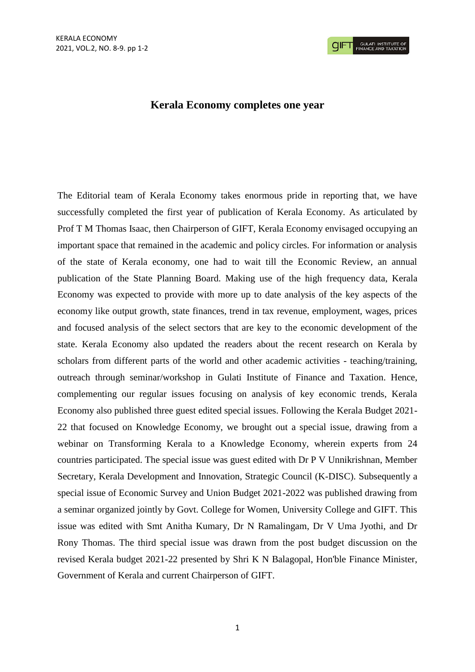## **Kerala Economy completes one year**

The Editorial team of Kerala Economy takes enormous pride in reporting that, we have successfully completed the first year of publication of Kerala Economy. As articulated by Prof T M Thomas Isaac, then Chairperson of GIFT, Kerala Economy envisaged occupying an important space that remained in the academic and policy circles. For information or analysis of the state of Kerala economy, one had to wait till the Economic Review, an annual publication of the State Planning Board. Making use of the high frequency data, Kerala Economy was expected to provide with more up to date analysis of the key aspects of the economy like output growth, state finances, trend in tax revenue, employment, wages, prices and focused analysis of the select sectors that are key to the economic development of the state. Kerala Economy also updated the readers about the recent research on Kerala by scholars from different parts of the world and other academic activities - teaching/training, outreach through seminar/workshop in Gulati Institute of Finance and Taxation. Hence, complementing our regular issues focusing on analysis of key economic trends, Kerala Economy also published three guest edited special issues. Following the Kerala Budget 2021- 22 that focused on Knowledge Economy, we brought out a special issue, drawing from a webinar on Transforming Kerala to a Knowledge Economy, wherein experts from 24 countries participated. The special issue was guest edited with Dr P V Unnikrishnan, Member Secretary, Kerala Development and Innovation, Strategic Council (K-DISC). Subsequently a special issue of Economic Survey and Union Budget 2021-2022 was published drawing from a seminar organized jointly by Govt. College for Women, University College and GIFT. This issue was edited with Smt Anitha Kumary, Dr N Ramalingam, Dr V Uma Jyothi, and Dr Rony Thomas. The third special issue was drawn from the post budget discussion on the revised Kerala budget 2021-22 presented by Shri K N Balagopal, Hon'ble Finance Minister, Government of Kerala and current Chairperson of GIFT.